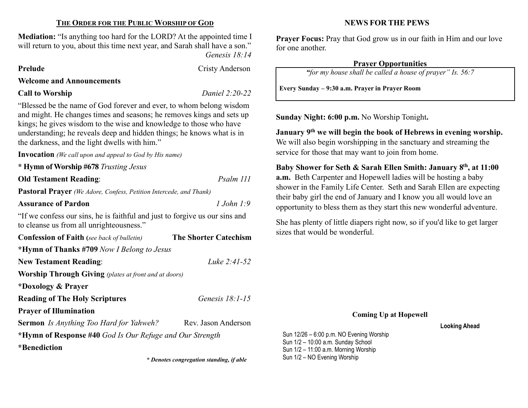#### THE ORDER FOR THE PUBLIC WORSHIP OF GOD

Mediation: "Is anything too hard for the LORD? At the appointed time I will return to you, about this time next year, and Sarah shall have a son." Genesis 18:14

Prelude Cristy Anderson

#### Welcome and Announcements

#### Call to Worship Daniel 2:20-22

"Blessed be the name of God forever and ever, to whom belong wisdom and might. He changes times and seasons; he removes kings and sets up kings; he gives wisdom to the wise and knowledge to those who have understanding; he reveals deep and hidden things; he knows what is in the darkness, and the light dwells with him."

Invocation (We call upon and appeal to God by His name)

\* Hymn of Worship #678 Trusting Jesus

Old Testament Reading: Psalm 111

Pastoral Prayer (We Adore, Confess, Petition Intercede, and Thank)

Assurance of Pardon 2008 1 John 1:9

"If we confess our sins, he is faithful and just to forgive us our sins and to cleanse us from all unrighteousness."

| <b>Confession of Faith</b> (see back of bulletin)            | <b>The Shorter Catechism</b> |  |  |  |  |
|--------------------------------------------------------------|------------------------------|--|--|--|--|
| *Hymn of Thanks #709 Now I Belong to Jesus                   |                              |  |  |  |  |
| <b>New Testament Reading:</b>                                | Luke $2:41-52$               |  |  |  |  |
| <b>Worship Through Giving</b> (plates at front and at doors) |                              |  |  |  |  |
| *Doxology & Prayer                                           |                              |  |  |  |  |
| <b>Reading of The Holy Scriptures</b>                        | Genesis $18:1-15$            |  |  |  |  |
| <b>Prayer of Illumination</b>                                |                              |  |  |  |  |
| <b>Sermon</b> Is Anything Too Hard for Yahweh?               | Rev. Jason Anderson          |  |  |  |  |
| *Hymn of Response #40 God Is Our Refuge and Our Strength     |                              |  |  |  |  |
| <i>*</i> Benediction                                         |                              |  |  |  |  |

#### NEWS FOR THE PEWS

Prayer Focus: Pray that God grow us in our faith in Him and our love for one another.

#### Prayer Opportunities

"for my house shall be called a house of prayer" Is. 56:7

Every Sunday – 9:30 a.m. Prayer in Prayer Room

Sunday Night: 6:00 p.m. No Worship Tonight.

January 9th we will begin the book of Hebrews in evening worship. We will also begin worshipping in the sanctuary and streaming the service for those that may want to join from home.

Baby Shower for Seth & Sarah Ellen Smith: January 8th, at 11:00 a.m. Beth Carpenter and Hopewell ladies will be hosting a baby shower in the Family Life Center. Seth and Sarah Ellen are expecting their baby girl the end of January and I know you all would love an opportunity to bless them as they start this new wonderful adventure.

She has plenty of little diapers right now, so if you'd like to get larger sizes that would be wonderful.

#### Coming Up at Hopewell

#### Looking Ahead

Sun 12/26 – 6:00 p.m. NO Evening Worship Sun 1/2 – 10:00 a.m. Sunday School Sun 1/2 – 11:00 a.m. Morning Worship \* Denotes congregation standing, if able Sun 1/2 - NO Evening Worship